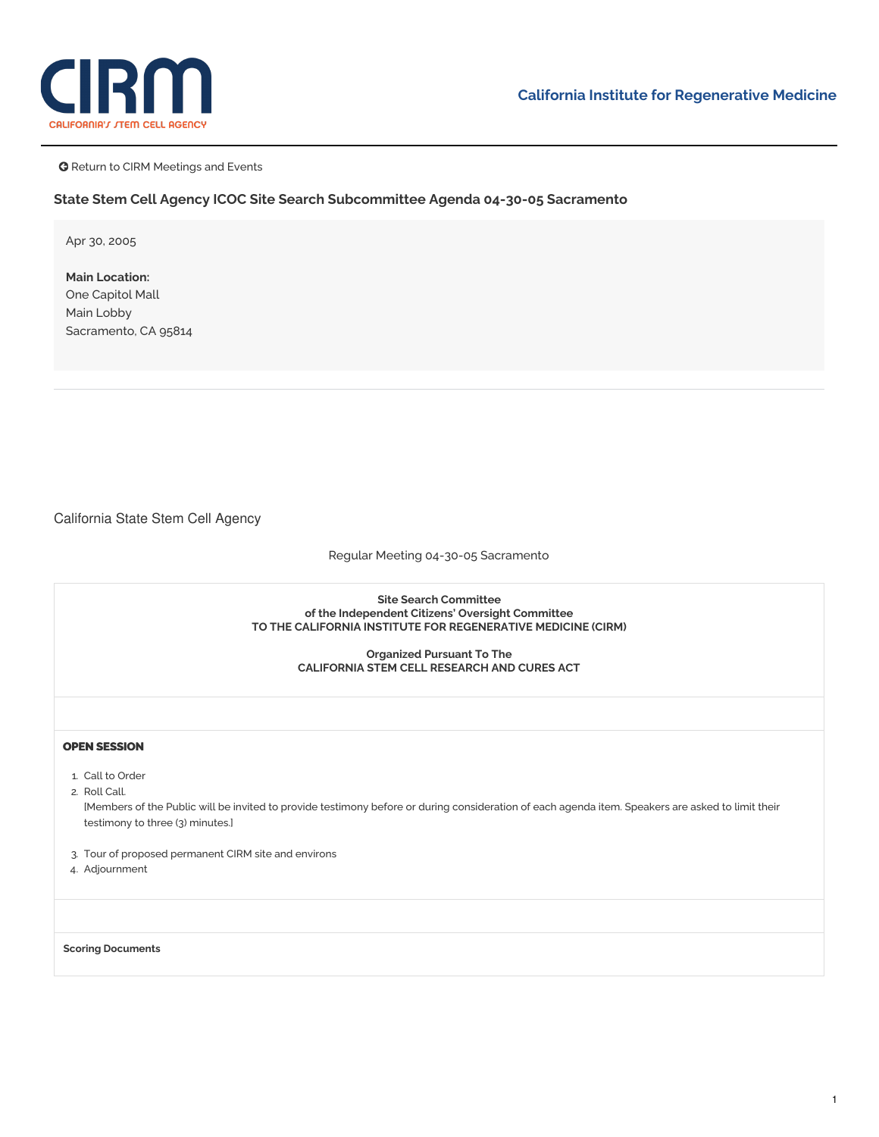



**G** Return to CIRM Meetings and Events

## **State Stem Cell Agency ICOC Site Search Subcommittee Agenda 04-30-05 Sacramento**

Apr 30, 2005

**Main Location:** One Capitol Mall Main Lobby Sacramento, CA 95814

California State Stem Cell Agency

Regular Meeting 04-30-05 Sacramento

**Site Search Committee of the Independent Citizens' Oversight Committee TO THE CALIFORNIA INSTITUTE FOR REGENERATIVE MEDICINE (CIRM)**

> **Organized Pursuant To The CALIFORNIA STEM CELL RESEARCH AND CURES ACT**

## **OPEN SESSION**

- 1. Call to Order
- 2. Roll Call.

[Members of the Public will be invited to provide testimony before or during consideration of each agenda item. Speakers are asked to limit their testimony to three (3) minutes.]

- 3. Tour of proposed [permanent](https://www.cirm.ca.gov/sites/default/files/files/agenda/043005_Sacto.pdf) CIRM site and environs
- 4. Adjournment

**Scoring Documents**